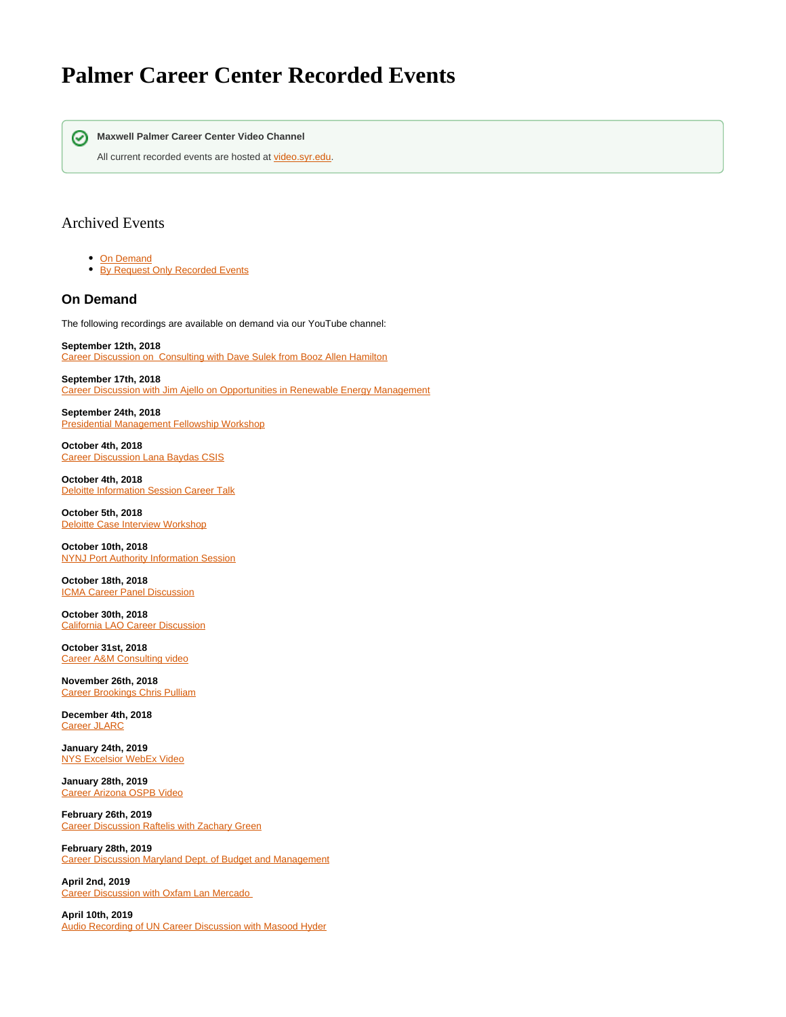## **Palmer Career Center Recorded Events**



All current recorded events are hosted at [video.syr.edu.](https://video.syr.edu/channel/Maxwell+Palmer+Career+Center/189760943)

## Archived Events

- [On Demand](https://answers.syr.edu/display/Maxwell/Palmer+Career+Center+Recorded+Events#PalmerCareerCenterRecordedEvents-OnDemand)
- **[By Request Only Recorded Events](https://answers.syr.edu/display/Maxwell/Palmer+Career+Center+Recorded+Events#PalmerCareerCenterRecordedEvents-ByRequestOnlyRecordedEvents)**

## **On Demand**

The following recordings are available on demand via our YouTube channel:

**September 12th, 2018 Rightary [Career Discussion on Consulting with Dave Sulek from Booz Allen Hamilton](https://youtu.be/bKj7UlSr98Q)** 

**September 17th, 2018** [Career Discussion with Jim Ajello on Opportunities in Renewable Energy Management](https://youtu.be/znsh57h0km8)

**September 24th, 2018** [Presidential Management Fellowship Workshop](https://youtu.be/jlnFHxlnaxg)

**October 4th, 2018** [Career Discussion Lana Baydas CSIS](https://youtu.be/hiYbtfkMbjs)

**October 4th, 2018** [Deloitte Information Session Career Talk](https://www.youtube.com/watch?v=nM5380uoOeA&feature=youtu.be)

**October 5th, 2018** [Deloitte Case Interview Workshop](https://youtu.be/aVx9xyWwLJs)

**October 10th, 2018** [NYNJ Port Authority Information Session](https://www.youtube.com/watch?v=Y9da3FU2sBw&feature=youtu.be)

**October 18th, 2018** [ICMA Career Panel Discussion](https://www.youtube.com/watch?v=GUGkzZFQFS8&feature=youtu.be)

**October 30th, 2018** [California LAO Career Discussion](https://www.youtube.com/watch?v=NtbJaKdK1ts&feature=youtu.be)

**October 31st, 2018** [Career A&M Consulting video](https://www.youtube.com/watch?v=dmEa6CQ_CNg&feature=youtu.be)

**November 26th, 2018** [Career Brookings Chris Pulliam](https://youtu.be/NRxNFsQn5g8)

**December 4th, 2018** [Career JLARC](https://youtu.be/Yf07ojc62PA)

**January 24th, 2019** [NYS Excelsior WebEx Video](https://youtu.be/9bPFb4RSmT8)

**January 28th, 2019** [Career Arizona OSPB Video](https://youtu.be/a6OB3S3X9pA)

**February 26th, 2019** [Career Discussion Raftelis with Zachary Green](https://www.youtube.com/watch?v=aGjlQoHwlX4&feature=youtu.be)

**February 28th, 2019** [Career Discussion Maryland Dept. of Budget and Management](https://www.youtube.com/watch?v=Iw7hIJc4O0s&feature=youtu.be)

**April 2nd, 2019** [Career Discussion with Oxfam Lan Mercado](https://www.youtube.com/watch?v=dDQMCNfA3M4&feature=youtu.be) 

**April 10th, 2019** [Audio Recording of UN Career Discussion with Masood Hyder](https://drive.google.com/file/d/1Ravv5-Tvl3yfgCoFBjlY0i0rvRCfNJP0/view?ts=5cbb07df)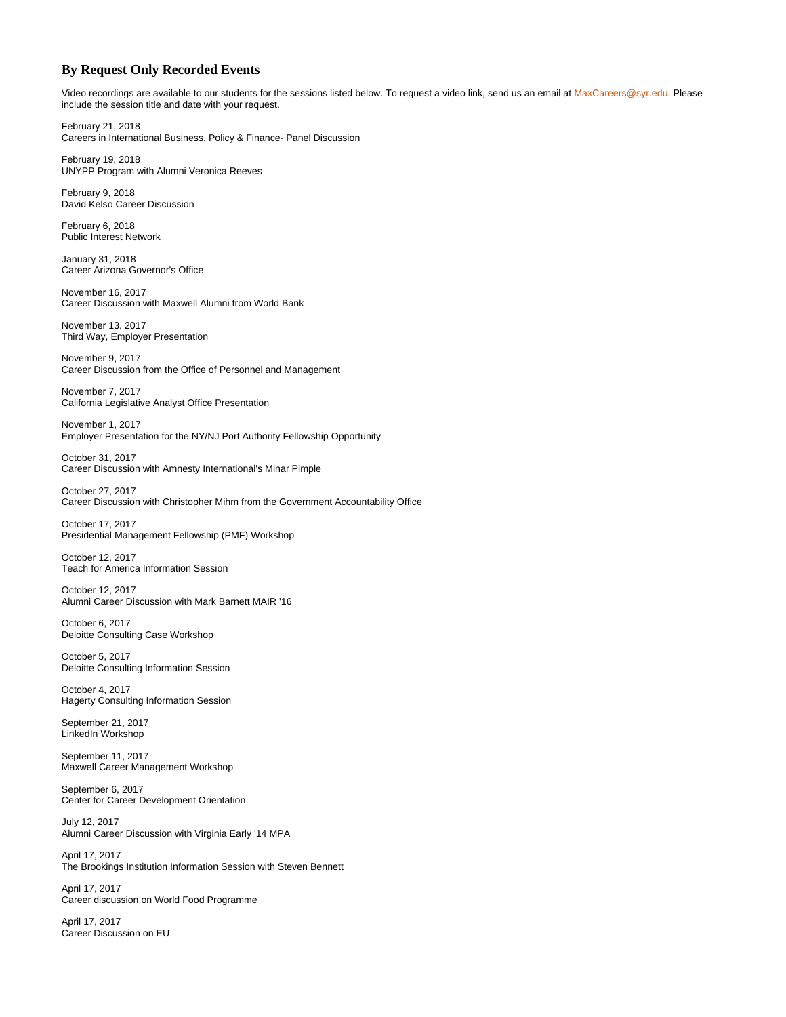## **By Request Only Recorded Events**

Video recordings are available to our students for the sessions listed below. To request a video link, send us an email at [MaxCareers@syr.edu](mailto:MaxCareers@syr.edu). Please include the session title and date with your request.

February 21, 2018 Careers in International Business, Policy & Finance- Panel Discussion

February 19, 2018 UNYPP Program with Alumni Veronica Reeves

February 9, 2018 David Kelso Career Discussion

February 6, 2018 Public Interest Network

January 31, 2018 Career Arizona Governor's Office

November 16, 2017 Career Discussion with Maxwell Alumni from World Bank

November 13, 2017 Third Way, Employer Presentation

November 9, 2017 Career Discussion from the Office of Personnel and Management

November 7, 2017 California Legislative Analyst Office Presentation

November 1, 2017 Employer Presentation for the NY/NJ Port Authority Fellowship Opportunity

October 31, 2017 Career Discussion with Amnesty International's Minar Pimple

October 27, 2017 Career Discussion with Christopher Mihm from the Government Accountability Office

October 17, 2017 Presidential Management Fellowship (PMF) Workshop

October 12, 2017 Teach for America Information Session

October 12, 2017 Alumni Career Discussion with Mark Barnett MAIR '16

October 6, 2017 Deloitte Consulting Case Workshop

October 5, 2017 Deloitte Consulting Information Session

October 4, 2017 Hagerty Consulting Information Session

September 21, 2017 LinkedIn Workshop

September 11, 2017 Maxwell Career Management Workshop

September 6, 2017 Center for Career Development Orientation

July 12, 2017 Alumni Career Discussion with Virginia Early '14 MPA

April 17, 2017 The Brookings Institution Information Session with Steven Bennett

April 17, 2017 Career discussion on World Food Programme

April 17, 2017 Career Discussion on EU